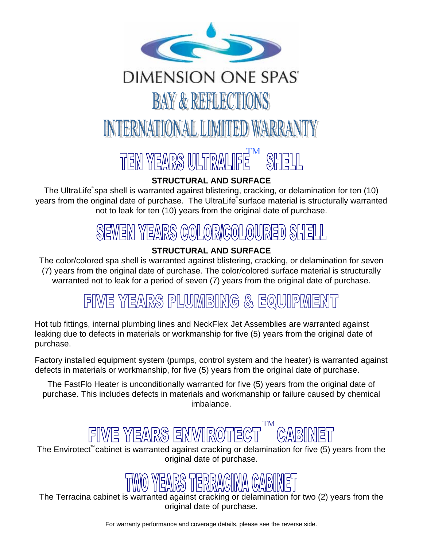

## DIMENSION ONE SPAS' **BAY & REFLECTIONS** INTERNATIONAL LIMITED WARRANTY

# TEN YEARS ULTRALIFIE SHELL

#### **STRUCTURAL AND SURFACE**

The UltraLife<sup>®</sup> spa shell is warranted against blistering, cracking, or delamination for ten (10) years from the original date of purchase. The UltraLife® surface material is structurally warranted not to leak for ten (10) years from the original date of purchase.

## SEVEN YEARS COLOR/COLOURED SHE

### **STRUCTURAL AND SURFACE**

The color/colored spa shell is warranted against blistering, cracking, or delamination for seven (7) years from the original date of purchase. The color/colored surface material is structurally warranted not to leak for a period of seven (7) years from the original date of purchase.

## FIVE YEARS PLUMBING & EQUIPMENT

 Hot tub fittings, internal plumbing lines and NeckFlex Jet Assemblies are warranted against leaking due to defects in materials or workmanship for five (5) years from the original date of purchase.

Factory installed equipment system (pumps, control system and the heater) is warranted against defects in materials or workmanship, for five (5) years from the original date of purchase.

The FastFlo Heater is unconditionally warranted for five (5) years from the original date of purchase. This includes defects in materials and workmanship or failure caused by chemical imbalance.

## TM

The Envirotect<sup>"</sup> cabinet is warranted against cracking or delamination for five (5) years from the original date of purchase.

 The Terracina cabinet is warranted against cracking or delamination for two (2) years from the original date of purchase.

For warranty performance and coverage details, please see the reverse side.